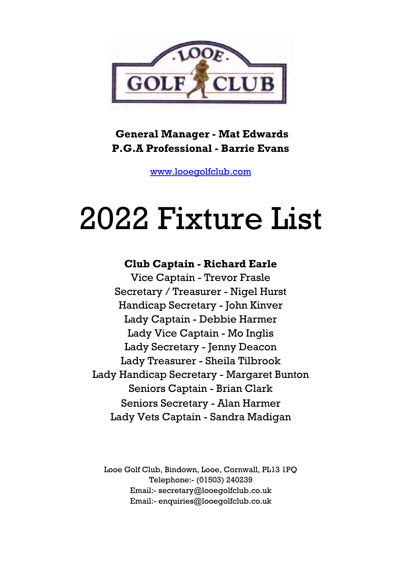

## **General Manager - Mat Edwards P.G.A Professional - Barrie Evans**

[www.looegolfclub.com](http://www.looegolfclub.com/)

## 2022 Fixture List

## **Club Captain - Richard Earle**

Vice Captain - Trevor Frasle Secretary / Treasurer - Nigel Hurst Handicap Secretary - John Kinver Lady Captain - Debbie Harmer Lady Vice Captain - Mo Inglis Lady Secretary - Jenny Deacon Lady Treasurer - Sheila Tilbrook Lady Handicap Secretary - Margaret Bunton Seniors Captain - Brian Clark Seniors Secretary - Alan Harmer Lady Vets Captain - Sandra Madigan

Looe Golf Club, Bindown, Looe, Cornwall, PL13 1PQ Telephone:- (01503) 240239 Email:- secretary@looegolfclub.co.uk Email:- enquiries@looegolfclub.co.uk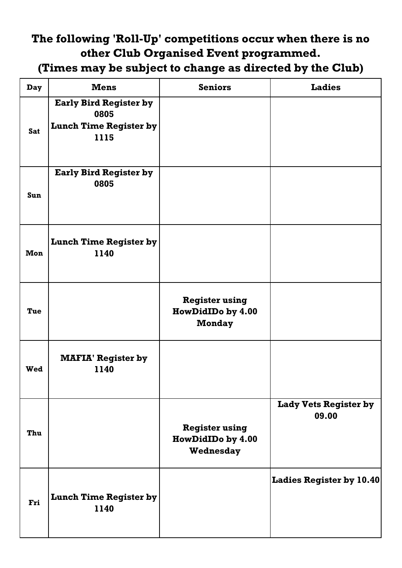## **The following 'Roll-Up' competitions occur when there is no other Club Organised Event programmed.**

**(Times may be subject to change as directed by the Club)**

| <b>Day</b> | <b>Mens</b>                                                                    | <b>Seniors</b>                                              | <b>Ladies</b>                         |
|------------|--------------------------------------------------------------------------------|-------------------------------------------------------------|---------------------------------------|
| <b>Sat</b> | <b>Early Bird Register by</b><br>0805<br><b>Lunch Time Register by</b><br>1115 |                                                             |                                       |
| Sun        | <b>Early Bird Register by</b><br>0805                                          |                                                             |                                       |
| Mon        | <b>Lunch Time Register by</b><br>1140                                          |                                                             |                                       |
| Tue        |                                                                                | <b>Register using</b><br>HowDidIDo by 4.00<br><b>Monday</b> |                                       |
| Wed        | <b>MAFIA' Register by</b><br>1140                                              |                                                             |                                       |
| Thu        |                                                                                | <b>Register using</b><br>HowDidIDo by 4.00<br>Wednesday     | <b>Lady Vets Register by</b><br>09.00 |
| Fri        | <b>Lunch Time Register by</b><br>1140                                          |                                                             | <b>Ladies Register by 10.40</b>       |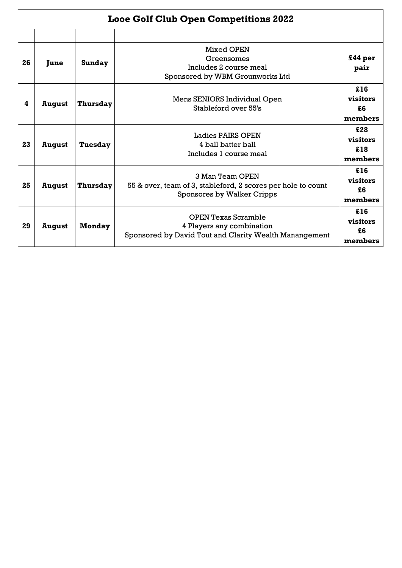|    | <b>Looe Golf Club Open Competitions 2022</b> |                 |                                                                                                                   |                                   |  |  |  |  |  |
|----|----------------------------------------------|-----------------|-------------------------------------------------------------------------------------------------------------------|-----------------------------------|--|--|--|--|--|
| 26 | June                                         | <b>Sunday</b>   | Mixed OPEN<br>Greensomes<br>Includes 2 course meal<br>Sponsored by WBM Grounworks Ltd                             | £44 <sub>per</sub><br>pair        |  |  |  |  |  |
| 4  | August                                       | <b>Thursday</b> | Mens SENIORS Individual Open<br>Stableford over 55's                                                              | £16<br>visitors<br>£6<br>members  |  |  |  |  |  |
| 23 | August                                       | <b>Tuesday</b>  | Ladies PAIRS OPEN<br>4 ball batter ball<br>Includes 1 course meal                                                 | £28<br>visitors<br>£18<br>members |  |  |  |  |  |
| 25 | August                                       | <b>Thursday</b> | 3 Man Team OPEN<br>55 & over, team of 3, stableford, 2 scores per hole to count<br>Sponsores by Walker Cripps     | £16<br>visitors<br>£6<br>members  |  |  |  |  |  |
| 29 | August                                       | <b>Monday</b>   | <b>OPEN Texas Scramble</b><br>4 Players any combination<br>Sponsored by David Tout and Clarity Wealth Manangement | £16<br>visitors<br>£6<br>members  |  |  |  |  |  |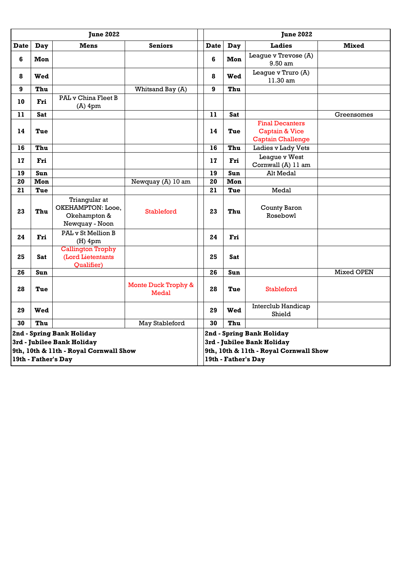| <b>June 2022</b>                                                                                                         |            |                                                                      |                                                                                                                          |             | <b>June 2022</b> |                                                                                 |              |  |
|--------------------------------------------------------------------------------------------------------------------------|------------|----------------------------------------------------------------------|--------------------------------------------------------------------------------------------------------------------------|-------------|------------------|---------------------------------------------------------------------------------|--------------|--|
| <b>Date</b>                                                                                                              | Day        | <b>Mens</b>                                                          | <b>Seniors</b>                                                                                                           | <b>Date</b> | Day              | <b>Ladies</b>                                                                   | <b>Mixed</b> |  |
| $6\phantom{1}$                                                                                                           | Mon        |                                                                      |                                                                                                                          | 6           | Mon              | League v Trevose (A)<br>9.50 am                                                 |              |  |
| 8                                                                                                                        | Wed        |                                                                      |                                                                                                                          | 8           | Wed              | League v Truro (A)<br>11.30 am                                                  |              |  |
| 9                                                                                                                        | Thu        |                                                                      | Whitsand Bay (A)                                                                                                         | 9           | Thu              |                                                                                 |              |  |
| 10                                                                                                                       | Fri        | PAL v China Fleet B<br>$(A)$ 4pm                                     |                                                                                                                          |             |                  |                                                                                 |              |  |
| 11                                                                                                                       | Sat        |                                                                      |                                                                                                                          | 11          | <b>Sat</b>       |                                                                                 | Greensomes   |  |
| 14                                                                                                                       | Tue        |                                                                      |                                                                                                                          | 14          | Tue              | <b>Final Decanters</b><br><b>Captain &amp; Vice</b><br><b>Captain Challenge</b> |              |  |
| 16                                                                                                                       | Thu        |                                                                      |                                                                                                                          | 16          | Thu              | Ladies v Lady Vets                                                              |              |  |
| 17                                                                                                                       | Fri        |                                                                      |                                                                                                                          | 17          | Fri              | League v West<br>Cornwall (A) 11 am                                             |              |  |
| 19                                                                                                                       | Sun        |                                                                      |                                                                                                                          | 19          | Sun              | Alt Medal                                                                       |              |  |
| 20                                                                                                                       | Mon        |                                                                      | Newquay (A) 10 am                                                                                                        | 20          | Mon              |                                                                                 |              |  |
| 21                                                                                                                       | Tue        |                                                                      |                                                                                                                          | 21          | Tue              | Medal                                                                           |              |  |
| 23                                                                                                                       | Thu        | Triangular at<br>OKEHAMPTON: Looe,<br>Okehampton &<br>Newquay - Noon | <b>Stableford</b>                                                                                                        | 23          | Thu              | County Baron<br>Rosebowl                                                        |              |  |
| 24                                                                                                                       | Fri        | PAL v St Mellion B<br>$(H)$ 4pm                                      |                                                                                                                          | 24          | Fri              |                                                                                 |              |  |
| 25                                                                                                                       | <b>Sat</b> | <b>Callington Trophy</b><br>(Lord Lietentants<br>Qualifier)          |                                                                                                                          | 25          | <b>Sat</b>       |                                                                                 |              |  |
| 26                                                                                                                       | Sun        |                                                                      |                                                                                                                          | 26          | Sun              |                                                                                 | Mixed OPEN   |  |
| 28                                                                                                                       | Tue        |                                                                      | Monte Duck Trophy &<br>Medal                                                                                             | 28          | Tue              | <b>Stableford</b>                                                               |              |  |
| 29                                                                                                                       | Wed        |                                                                      |                                                                                                                          | 29          | Wed              | Interclub Handicap<br>Shield                                                    |              |  |
| 30                                                                                                                       | Thu        |                                                                      | May Stableford                                                                                                           | 30          | Thu              |                                                                                 |              |  |
| 2nd - Spring Bank Holiday<br>3rd - Jubilee Bank Holiday<br>9th, 10th & 11th - Royal Cornwall Show<br>19th - Father's Day |            |                                                                      | 2nd - Spring Bank Holiday<br>3rd - Jubilee Bank Holiday<br>9th, 10th & 11th - Royal Cornwall Show<br>19th - Father's Day |             |                  |                                                                                 |              |  |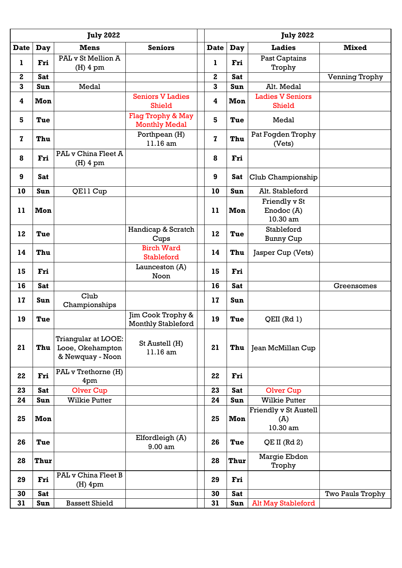|                         | <b>July 2022</b> |                                                                    |                                                |             | <b>July 2022</b> |                                          |                         |  |
|-------------------------|------------------|--------------------------------------------------------------------|------------------------------------------------|-------------|------------------|------------------------------------------|-------------------------|--|
| <b>Date</b>             | Day              | <b>Mens</b>                                                        | <b>Seniors</b>                                 | <b>Date</b> | Day              | <b>Ladies</b>                            | <b>Mixed</b>            |  |
| 1                       | Fri              | PAL v St Mellion A<br>$(H)$ 4 pm                                   |                                                | ı           | Fri              | Past Captains<br>Trophy                  |                         |  |
| $\mathbf{2}$            | <b>Sat</b>       |                                                                    |                                                | $\mathbf 2$ | <b>Sat</b>       |                                          | Venning Trophy          |  |
| $\overline{\mathbf{3}}$ | Sun              | Medal                                                              |                                                | 3           | Sun              | Alt. Medal                               |                         |  |
| $\overline{\mathbf{4}}$ | Mon              |                                                                    | <b>Seniors V Ladies</b><br><b>Shield</b>       | 4           | Mon              | <b>Ladies V Seniors</b><br><b>Shield</b> |                         |  |
| 5                       | Tue              |                                                                    | Flag Trophy & May<br><b>Monthly Medal</b>      | 5           | Tue              | Medal                                    |                         |  |
| $\mathbf{z}$            | Thu              |                                                                    | Porthpean (H)<br>11.16 am                      | $\mathbf z$ | Thu              | Pat Fogden Trophy<br>(Vets)              |                         |  |
| 8                       | Fri              | PAL v China Fleet A<br>$(H)$ 4 pm                                  |                                                | 8           | Fri              |                                          |                         |  |
| 9                       | <b>Sat</b>       |                                                                    |                                                | 9           | <b>Sat</b>       | Club Championship                        |                         |  |
| 10                      | Sun              | QE11 Cup                                                           |                                                | 10          | Sun              | Alt. Stableford                          |                         |  |
| 11                      | Mon              |                                                                    |                                                | 11          | Mon              | Friendly v St<br>Enodoc (A)<br>10.30 am  |                         |  |
| 12                      | Tue              |                                                                    | Handicap & Scratch<br>Cups                     | 12          | Tue              | Stableford<br><b>Bunny Cup</b>           |                         |  |
| 14                      | Thu              |                                                                    | <b>Birch Ward</b><br>Stableford                | 14          | Thu              | Jasper Cup (Vets)                        |                         |  |
| 15                      | Fri              |                                                                    | Launceston $(A)$<br>Noon                       | 15          | Fri              |                                          |                         |  |
| 16                      | <b>Sat</b>       |                                                                    |                                                | 16          | <b>Sat</b>       |                                          | Greensomes              |  |
| 17                      | Sun              | Club<br>Championships                                              |                                                | 17          | Sun              |                                          |                         |  |
| 19                      | Tue              |                                                                    | Jim Cook Trophy &<br><b>Monthly Stableford</b> | 19          | Tue              | $QEII$ (Rd 1)                            |                         |  |
| 21                      | <b>Thu</b>       | <b>Triangular at LOOE:</b><br>Looe, Okehampton<br>& Newquay - Noon | St Austell (H)<br>11.16 am                     | 21          | Thu              | Jean McMillan Cup                        |                         |  |
| 22                      | Fri              | PAL v Trethorne (H)<br>4pm                                         |                                                | 22          | Fri              |                                          |                         |  |
| 23                      | <b>Sat</b>       | <b>Olver Cup</b>                                                   |                                                | 23          | <b>Sat</b>       | <b>Olver Cup</b>                         |                         |  |
| 24                      | Sun              | <b>Wilkie Putter</b>                                               |                                                | 24          | Sun              | <b>Wilkie Putter</b>                     |                         |  |
| 25                      | Mon              |                                                                    |                                                | 25          | Mon              | Friendly v St Austell<br>(A)<br>10.30 am |                         |  |
| 26                      | Tue              |                                                                    | Elfordleigh (A)<br>9.00 am                     | 26          | Tue              | QE II (Rd 2)                             |                         |  |
| 28                      | Thur             |                                                                    |                                                | 28          | Thur             | Margie Ebdon<br>Trophy                   |                         |  |
| 29                      | Fri              | PAL v China Fleet B<br>$(H)$ 4pm                                   |                                                | 29          | Fri              |                                          |                         |  |
| 30                      | <b>Sat</b>       |                                                                    |                                                | 30          | <b>Sat</b>       |                                          | <b>Two Pauls Trophy</b> |  |
| 31                      | Sun              | <b>Bassett Shield</b>                                              |                                                | 31          | Sun              | <b>Alt May Stableford</b>                |                         |  |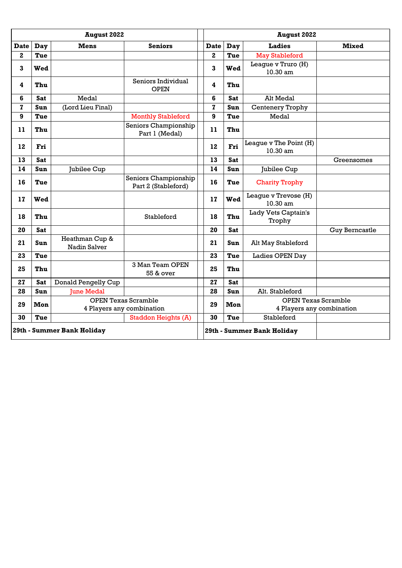| <b>August 2022</b> |                            |                                |                                             | <b>August 2022</b> |            |                                    |                           |
|--------------------|----------------------------|--------------------------------|---------------------------------------------|--------------------|------------|------------------------------------|---------------------------|
| <b>Date</b>        | Day                        | <b>Mens</b>                    | <b>Seniors</b>                              | <b>Date</b>        | Day        | <b>Ladies</b>                      | <b>Mixed</b>              |
| $\mathbf 2$        | Tue                        |                                |                                             | $\mathbf{2}$       | Tue        | <b>May Stableford</b>              |                           |
| 3                  | Wed                        |                                |                                             | 3                  | Wed        | League v Truro (H)<br>10.30 am     |                           |
| 4                  | Thu                        |                                | Seniors Individual<br><b>OPEN</b>           | 4                  | Thu        |                                    |                           |
| 6                  | <b>Sat</b>                 | Medal                          |                                             | 6                  | <b>Sat</b> | Alt Medal                          |                           |
| $\mathbf{z}$       | Sun                        | (Lord Lieu Final)              |                                             | $\mathbf{z}$       | <b>Sun</b> | Centenery Trophy                   |                           |
| 9                  | Tue                        |                                | <b>Monthly Stableford</b>                   | 9                  | Tue        | Medal                              |                           |
| 11                 | Thu                        |                                | Seniors Championship<br>Part 1 (Medal)      | 11                 | Thu        |                                    |                           |
| 12                 | Fri                        |                                |                                             | 12                 | Fri        | League v The Point (H)<br>10.30 am |                           |
| 13                 | <b>Sat</b>                 |                                |                                             | 13                 | <b>Sat</b> |                                    | Greensomes                |
| 14                 | Sun                        | Jubilee Cup                    |                                             | 14                 | Sun        | Jubilee Cup                        |                           |
| 16                 | Tue                        |                                | Seniors Championship<br>Part 2 (Stableford) | 16                 | Tue        | <b>Charity Trophy</b>              |                           |
| 17                 | Wed                        |                                |                                             | 17                 | Wed        | League v Trevose (H)<br>10.30 am   |                           |
| 18                 | Thu                        |                                | Stableford                                  | 18                 | Thu        | Lady Vets Captain's<br>Trophy      |                           |
| 20                 | <b>Sat</b>                 |                                |                                             | 20                 | <b>Sat</b> |                                    | <b>Guy Berncastle</b>     |
| 21                 | Sun                        | Heathman Cup &<br>Nadin Salver |                                             | 21                 | Sun        | Alt May Stableford                 |                           |
| 23                 | Tue                        |                                |                                             | 23                 | Tue        | Ladies OPEN Day                    |                           |
| 25                 | Thu                        |                                | 3 Man Team OPEN<br>55 & over                | 25                 | Thu        |                                    |                           |
| 27                 | Sat                        | Donald Pengelly Cup            |                                             | 27                 | <b>Sat</b> |                                    |                           |
| 28                 | Sun                        | <b>June Medal</b>              |                                             | 28                 | Sun        | Alt. Stableford                    |                           |
| 29                 | Mon                        |                                | <b>OPEN Texas Scramble</b>                  | 29                 | Mon        | <b>OPEN Texas Scramble</b>         |                           |
|                    |                            |                                | 4 Players any combination                   |                    |            |                                    | 4 Players any combination |
| 30                 | Tue                        |                                | <b>Staddon Heights (A)</b>                  | 30                 | Tue        | Stableford                         |                           |
|                    | 29th - Summer Bank Holiday |                                |                                             |                    |            | 29th - Summer Bank Holiday         |                           |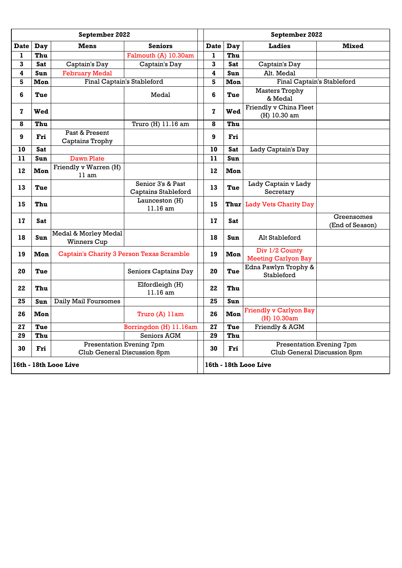| September 2022        |            |                                            |                                                         |              | September 2022 |                                                                |                               |  |
|-----------------------|------------|--------------------------------------------|---------------------------------------------------------|--------------|----------------|----------------------------------------------------------------|-------------------------------|--|
| <b>Date</b>           | Day        | <b>Mens</b>                                | <b>Seniors</b>                                          | <b>Date</b>  | <b>Day</b>     | <b>Ladies</b>                                                  | <b>Mixed</b>                  |  |
| 1                     | Thu        |                                            | Falmouth (A) 10.30am                                    | $\mathbf{1}$ | Thu            |                                                                |                               |  |
| 3                     | Sat        | Captain's Day                              | Captain's Day                                           | 3            | <b>Sat</b>     | Captain's Day                                                  |                               |  |
| 4                     | <b>Sun</b> | <b>February Medal</b>                      |                                                         | 4            | Sun            | Alt. Medal                                                     |                               |  |
| 5                     | Mon        |                                            | Final Captain's Stableford                              | 5            | Mon            | Final Captain's Stableford                                     |                               |  |
| 6                     | Tue        |                                            | Medal                                                   | 6            | Tue            | <b>Masters Trophy</b><br>& Medal                               |                               |  |
| $\mathbf{z}$          | Wed        |                                            |                                                         | 7            | Wed            | Friendly v China Fleet<br>(H) 10.30 am                         |                               |  |
| 8                     | Thu        |                                            | Truro (H) 11.16 am                                      | 8            | Thu            |                                                                |                               |  |
| 9                     | Fri        | Past & Present<br>Captains Trophy          |                                                         | 9            | Fri            |                                                                |                               |  |
| 10                    | <b>Sat</b> |                                            |                                                         | 10           | <b>Sat</b>     | Lady Captain's Day                                             |                               |  |
| 11                    | Sun        | Dawn Plate                                 |                                                         | 11           | Sun            |                                                                |                               |  |
| 12                    | Mon        | Friendly v Warren (H)<br>11 am             |                                                         | 12           | Mon            |                                                                |                               |  |
| 13                    | Tue        |                                            | Senior 3's & Past<br><b>Captains Stableford</b>         | 13           | Tue            | Lady Captain v Lady<br>Secretary                               |                               |  |
| 15                    | Thu        |                                            | Launceston (H)<br>11.16 am                              | 15           | Thur           | <b>Lady Vets Charity Day</b>                                   |                               |  |
| 17                    | Sat        |                                            |                                                         | 17           | Sat            |                                                                | Greensomes<br>(End of Season) |  |
| 18                    | Sun        | Medal & Morley Medal<br><b>Winners Cup</b> |                                                         | 18           | Sun            | Alt Stableford                                                 |                               |  |
| 19                    | Mon        |                                            | <b>Captain's Charity 3 Person Texas Scramble</b>        | 19           | Mon            | Div 1/2 County<br><b>Meeting Carlyon Bay</b>                   |                               |  |
| 20                    | Tue        |                                            | Seniors Captains Day                                    | 20           | Tue            | Edna Pawlyn Trophy &<br>Stableford                             |                               |  |
| 22                    | Thu        |                                            | Elfordleigh (H)<br>11.16 am                             | 22           | Thu            |                                                                |                               |  |
| 25                    | Sun        | Daily Mail Foursomes                       |                                                         | 25           | Sun            |                                                                |                               |  |
| 26                    | Mon        |                                            | Truro (A) 11am                                          | 26           | Mon            | <b>Friendly v Carlyon Bay</b><br>(H) 10.30am                   |                               |  |
| 27                    | Tue        |                                            | Borringdon (H) 11.16am                                  | 27           | Tue            | Friendly & AGM                                                 |                               |  |
| 29                    | Thu        |                                            | Seniors AGM                                             | 29           | Thu            |                                                                |                               |  |
| 30                    | Fri        |                                            | Presentation Evening 7pm<br>Club General Discussion 8pm | 30           | Fri            | <b>Presentation Evening 7pm</b><br>Club General Discussion 8pm |                               |  |
| 16th - 18th Looe Live |            |                                            |                                                         |              |                | 16th - 18th Looe Live                                          |                               |  |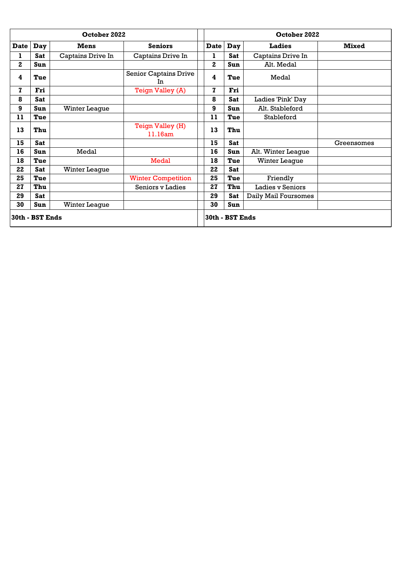| October 2022 |                 |                      |                             |                | October 2022    |                      |              |  |
|--------------|-----------------|----------------------|-----------------------------|----------------|-----------------|----------------------|--------------|--|
| <b>Date</b>  | <b>Day</b>      | <b>Mens</b>          | <b>Seniors</b>              | <b>Date</b>    | Day             | <b>Ladies</b>        | <b>Mixed</b> |  |
| ı            | <b>Sat</b>      | Captains Drive In    | Captains Drive In           | ı              | <b>Sat</b>      | Captains Drive In    |              |  |
| $\mathbf{2}$ | <b>Sun</b>      |                      |                             | $\overline{2}$ | <b>Sun</b>      | Alt. Medal           |              |  |
| 4            | Tue             |                      | Senior Captains Drive<br>In | 4              | Tue             | Medal                |              |  |
| $\mathbf{z}$ | Fri             |                      | Teign Valley (A)            | 7              | Fri             |                      |              |  |
| 8            | <b>Sat</b>      |                      |                             | 8              | <b>Sat</b>      | Ladies 'Pink' Day    |              |  |
| 9            | Sun             | <b>Winter League</b> |                             | 9              | Sun             | Alt. Stableford      |              |  |
| 11           | Tue             |                      |                             | 11             | Tue             | Stableford           |              |  |
| 13           | Thu             |                      | Teign Valley (H)<br>11.16am | 13             | Thu             |                      |              |  |
| 15           | <b>Sat</b>      |                      |                             | 15             | <b>Sat</b>      |                      | Greensomes   |  |
| 16           | <b>Sun</b>      | Medal                |                             | 16             | <b>Sun</b>      | Alt. Winter League   |              |  |
| 18           | Tue             |                      | Medal                       | 18             | Tue             | Winter League        |              |  |
| 22           | Sat             | <b>Winter League</b> |                             | 22             | <b>Sat</b>      |                      |              |  |
| 25           | Tue             |                      | <b>Winter Competition</b>   | 25             | Tue             | Friendly             |              |  |
| 27           | Thu             |                      | Seniors y Ladies            | 27             | Thu             | Ladies v Seniors     |              |  |
| 29           | <b>Sat</b>      |                      |                             | 29             | <b>Sat</b>      | Daily Mail Foursomes |              |  |
| 30           | Sun             | <b>Winter League</b> |                             | 30             | Sun             |                      |              |  |
|              | 30th - BST Ends |                      |                             |                | 30th - BST Ends |                      |              |  |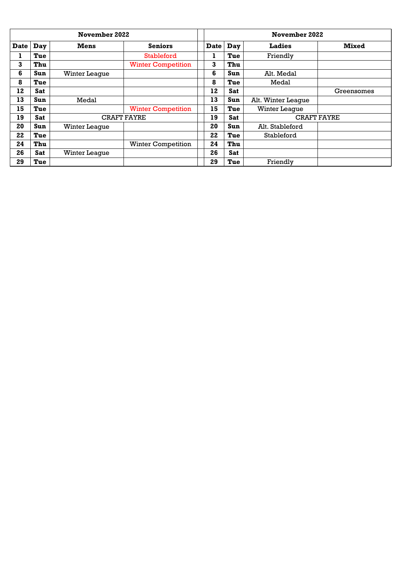| November 2022 |            |                      |                           |             | November 2022 |            |                      |              |
|---------------|------------|----------------------|---------------------------|-------------|---------------|------------|----------------------|--------------|
| <b>Date</b>   | Day        | <b>Mens</b>          | <b>Seniors</b>            | <b>Date</b> | Day           |            | <b>Ladies</b>        | <b>Mixed</b> |
| т             | Tue        |                      | Stableford                | ı           |               | Tue        | Friendly             |              |
| 3             | Thu        |                      | <b>Winter Competition</b> | 3           |               | Thu        |                      |              |
| 6             | Sun        | <b>Winter League</b> |                           | 6           |               | Sun        | Alt. Medal           |              |
| 8             | Tue        |                      |                           | 8           |               | Tue        | Medal                |              |
| 12            | <b>Sat</b> |                      |                           | 12          |               | <b>Sat</b> |                      | Greensomes   |
| 13            | <b>Sun</b> | Medal                |                           | 13          |               | <b>Sun</b> | Alt. Winter League   |              |
| 15            | Tue        |                      | <b>Winter Competition</b> | 15          |               | Tue        | <b>Winter League</b> |              |
| 19            | <b>Sat</b> |                      | <b>CRAFT FAYRE</b>        | 19          |               | <b>Sat</b> | <b>CRAFT FAYRE</b>   |              |
| 20            | Sun        | Winter League        |                           | 20          |               | Sun        | Alt. Stableford      |              |
| 22            | Tue        |                      |                           | 22          |               | Tue        | Stableford           |              |
| 24            | Thu        |                      | <b>Winter Competition</b> | 24          |               | Thu        |                      |              |
| 26            | <b>Sat</b> | <b>Winter League</b> |                           | 26          |               | <b>Sat</b> |                      |              |
| 29            | Tue        |                      |                           | 29          |               | Tue        | Friendly             |              |